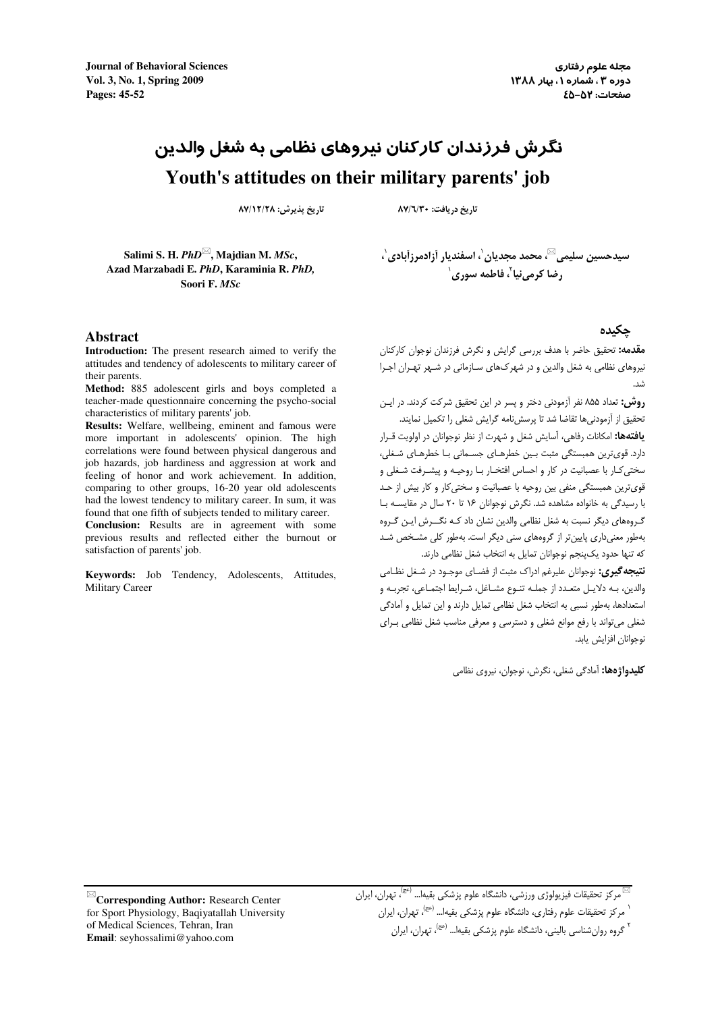**Journal of Behavioral Sciences** Vol. 3, No. 1, Spring 2009 Pages: 45-52

مجله علوم رفتاري دوره ۳، شماره ۱، بیار ۱۳۸۸ صفحات: ٥٢-٤٥

# نگرش فرزندان کارکنان نیروهای نظامی به شغل والدین Youth's attitudes on their military parents' job

تاريخ يذيرش: ١٢/٢٨/١٧/١٨

تاريخ دريافت: ٨٧/٦/٣٠

Salimi S. H. PhD<sup>⊠</sup>, Majdian M. MSc, Azad Marzabadi E. PhD, Karaminia R. PhD, Soori F. MSc

#### **Abstract**

Introduction: The present research aimed to verify the attitudes and tendency of adolescents to military career of their parents.

Method: 885 adolescent girls and boys completed a teacher-made questionnaire concerning the psycho-social characteristics of military parents' job.

Results: Welfare, wellbeing, eminent and famous were more important in adolescents' opinion. The high correlations were found between physical dangerous and job hazards, job hardiness and aggression at work and feeling of honor and work achievement. In addition, comparing to other groups, 16-20 year old adolescents had the lowest tendency to military career. In sum, it was found that one fifth of subjects tended to military career. Conclusion: Results are in agreement with some

previous results and reflected either the burnout or satisfaction of parents' iob.

Keywords: Job Tendency, Adolescents, Attitudes, **Military Career** 

سيدحسين سليمي™، محمد مجديان'، اسفنديار أزادمرزآبادي'، ، ضا کرمے نیا ؒ، فاطمه سوری ْ

#### حكىدە

.<br>**مقدمه:** تحقیق حاضر با هدف بررسی گرایش و نگرش فرزندان نوجوان کارکنان نیروهای نظامی به شغل والدین و در شهر کـهای سـازمانی در شـهر تهـران اجـرا

**روش:** تعداد ۸۵۵ نفر آزمودنی دختر و پسر در این تحقیق شرکت کردند. در ایـن تحقیق از آزمودنی ها تقاضا شد تا پرسش نامه گرایش شغلی را تکمیل نمایند.

**یافتهها:** امکانات رفاهی، آسایش شغل و شهرت از نظر نوجوانان در اولویت قـرار دارد. قویترین همبستگی مثبت بـین خطرهـای جسـمانی بـا خطرهـای شـغلی، سختی کـار با عصبانیت در کار و احساس افتخـار بـا روحیـه و پیشـرفت شـغلی و قوی ترین همبستگی منفی بین روحیه با عصبانیت و سختی کار و کار بیش از حـد با رسیدگی به خانواده مشاهده شد. نگرش نوجوانان ۱۶ تا ۲۰ سال در مقایسه با گـروههای دیگر نسبت به شغل نظامی والدین نشان داد کـه نگــرش ایـن گـروه بهطور معنی داری پایین تر از گروههای سنی دیگر است. بهطور کلی مشخص شد كه تنها حدود يك $\varphi$ بنجم نوجوانان تمايل به انتخاب شغل نظامى دارند.

**نتیجه گیری:** نوجوانان علیرغم ادراک مثبت از فضـای موجـود در شـغل نظـامی والدین، بـه دلایـل متعـدد از جملـه تنـوع مشـاغل، شـرایط اجتمـاعی، تجربـه و استعدادها، بهطور نسبي به انتخاب شغل نظامي تمايل دارند و اين تمايل و آمادگي شغلی میتواند با رفع موانع شغلی و دسترسی و معرفی مناسب شغل نظامی بـرای نوحوانان افزایش باید.

**کلیدواژهها:** آمادگی شغلی، نگرش، نوجوان، نیروی نظامی

 $\mathbb{Z}_\mathbf{Corresponding\,}$  Author: Research Center for Sport Physiology, Baqiyatallah University of Medical Sciences, Tehran, Iran Email: seyhossalimi@yahoo.com

<sup>&</sup>lt;sup>י</sup> مرکز تحقیقات علوم رفتاری، دانشگاه علوم پزشکی بقیها... <sup>(عج)</sup>، تهران، ایران

گروه روان شناسی بالینی، دانشگاه علوم پزشکی بقیها… <sup>(عج)</sup>، تهران، ایران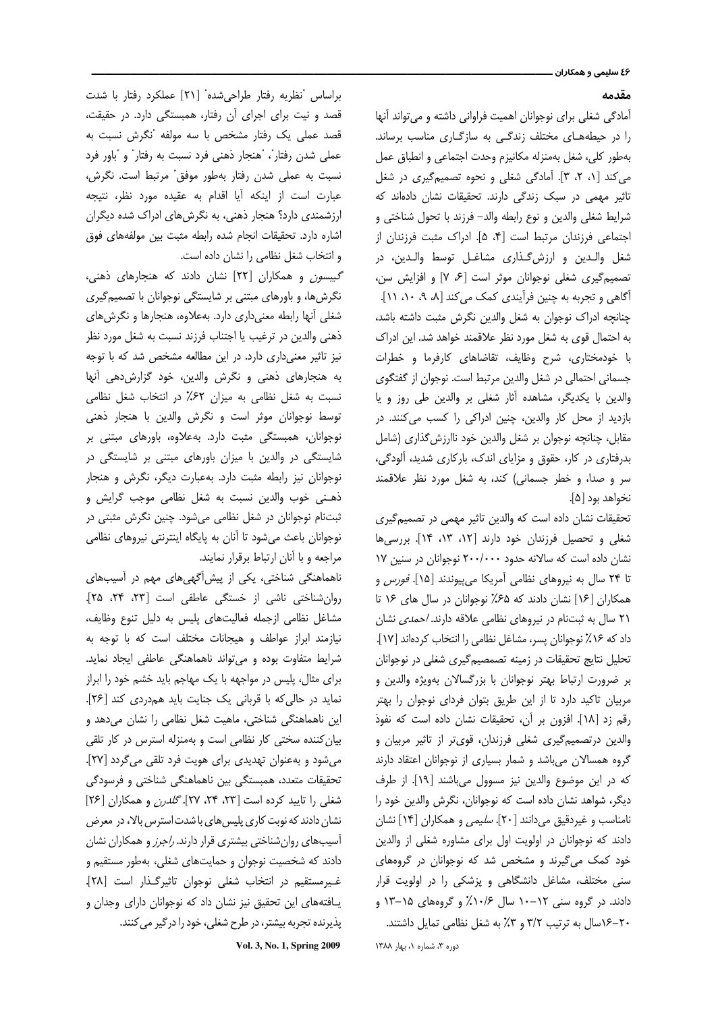#### مقدمه

آمادگی شغلی برای نوجوانان اهمیت فراوانی داشته و می تواند آنها را در حیطههای مختلف زندگی به سازگاری مناسب برساند. بهطور كلي، شغل بهمنزله مكانيزم وحدت اجتماعي و انطباق عمل می کند [۱، ۲، ۳]. آمادگی شغلی و نحوه تصمیم گیری در شغل تاثیر مهمی در سبک زندگی دارند. تحقیقات نشان دادهاند که شرايط شغلي والدين و نوع رابطه والد- فرزند با تحول شناختي و اجتماعی فرزندان مرتبط است [۴، ۵]. ادراک مثبت فرزندان از شغل والـدين و ارزش گـذاري مشاغـل توسط والـدين، در تصمیم گیری شغلی نوجوانان موثر است [۶، ۷] و افزایش سن، آگاهی و تجربه به چنین فرآیندی کمک می کند [۸، ۹، ۱۰، ۱۱]. چنانچه ادراک نوجوان به شغل والدین نگرش مثبت داشته باشد، به احتمال قوی به شغل مورد نظر علاقمند خواهد شد. این ادراک با خودمختاری، شرح وظایف، تقاضاهای کارفرما و خطرات جسمانی احتمالی در شغل والدین مرتبط است. نوجوان از گفتگوی والدین با یکدیگر، مشاهده آثار شغلی بر والدین طی روز و یا بازدید از محل کار والدین، چنین ادراکی را کسب می کنند. در مقابل، چنانچه نوجوان بر شغل والدین خود ناارزش گذاری (شامل بدرفتاری در کار، حقوق و مزایای اندک، بارکاری شدید، آلودگی، سر و صدا، و خطر جسمانی) کند، به شغل مورد نظر علاقمند نخواهد بود [۵].

تحقیقات نشان داده است که والدین تاثیر مهمی در تصمیمگیری شغلی و تحصیل فرزندان خود دارند [۱۲، ۱۳، ۱۴]. بررسیها نشان داده است که سالانه حدود ۲۰۰/۰۰۰ نوجوانان در سنین ۱۷ تا ٢۴ سال به نیروهای نظامی آمریکا میپیوندند [١۵]. *فورس* و همکاران [۱۶] نشان دادند که ۶۵٪ نوجوانان در سال های ۱۶ تا ٢١ سال به ثبتنام در نيروهاى نظامى علاقه دارند. /حمدى نشان داد که ۱۶٪ نوجوانان پسر، مشاغل نظامی را انتخاب کردهاند [۱۷]. تحلیل نتایج تحقیقات در زمینه تصمصیم گیری شغلی در نوجوانان بر ضرورت ارتباط بهتر نوجوانان با بزرگسالان بهویژه والدین و مربیان تاکید دارد تا از این طریق بتوان فردای نوجوان را بهتر رقم زد [١٨]. افزون بر آن، تحقيقات نشان داده است كه نفوذ والدین درتصمیم گیری شغلی فرزندان، قوی تر از تاثیر مربیان و گروه همسالان میباشد و شمار بسیاری از نوجوانان اعتقاد دارند كه در اين موضوع والدين نيز مسوول مي باشند [١٩]. از طرف دیگر، شواهد نشان داده است که نوجوانان، نگرش والدین خود را نامناسب و غیردقیق میدانند [۲۰]. *سلیمی* و همکاران [۱۴] نشان دادند که نوجوانان در اولویت اول برای مشاوره شغلی از والدین خود کمک میگیرند و مشخص شد که نوجوانان در گروههای سنی مختلف، مشاغل دانشگاهی و پزشکی را در اولویت قرار دادند. در گروه سنی ۱۲–۱۰ سال ۲۰/۶٪ و گروههای ۱۵–۱۳ و ٢٠-١۶سال به ترتيب ٣/٢ و ٣٪ به شغل نظامي تمايل داشتند.

Vol. 3, No. 1, Spring 2009

دوره ٣، شماره ١، بهار ١٣٨٨

براساس "نظريه رفتار طراحى شده" [٢١] عملكرد رفتار با شدت قصد و نیت برای اجرای آن رفتار، همبستگی دارد. در حقیقت، قصد عملی یک رفتار مشخص با سه مولفه "نگرش نسبت به عملي شدن رفتار"، "هنجار ذهني فرد نسبت به رفتار" و "باور فرد نسبت به عملی شدن رفتار بهطور موفق" مرتبط است. نگرش، عبارت است از اینکه آیا اقدام به عقیده مورد نظر، نتیجه ارزشمندی دارد؟ هنجار ذهنی، به نگرشهای ادراک شده دیگران اشاره دارد. تحقيقات انجام شده رابطه مثبت بين مولفههاى فوق و انتخاب شغل نظامی را نشان داده است.

*گیبسون* و همکاران [۲۲] نشان دادند که هنجارهای ذهنی، نگرشها، و باورهای مبتنی بر شایستگی نوجوانان با تصمیم گیری شغلی آنها رابطه معنیداری دارد. بهعلاوه، هنجارها و نگرشهای ذهني والدين در ترغيب يا اجتناب فرزند نسبت به شغل مورد نظر نیز تاثیر معنیداری دارد. در این مطالعه مشخص شد که با توجه به هنجارهای ذهنی و نگرش والدین، خود گزارش دهی آنها نسبت به شغل نظامی به میزان ۶۲٪ در انتخاب شغل نظامی توسط نوجوانان موثر است و نگرش والدین با هنجار ذهنی نوجوانان، همبستگی مثبت دارد. بهعلاوه، باورهای مبتنی بر شایستگی در والدین با میزان باورهای مبتنی بر شایستگی در نوجوانان نیز رابطه مثبت دارد. بهعبارت دیگر، نگرش و هنجار ذهني خوب والدين نسبت به شغل نظامي موجب گرايش و ثبتنام نوجوانان در شغل نظامی میشود. چنین نگرش مثبتی در نوجوانان باعث می شود تا آنان به پایگاه اینترنتی نیروهای نظامی مراجعه و با آنان ارتباط برقرار نمايند.

ناهماهنگی شناختی، یکی از پیش آگهیهای مهم در آسیبهای روان شناختی ناشی از خستگی عاطفی است [۲۳، ۲۴، ۲۵]. مشاغل نظامی ازجمله فعالیتهای پلیس به دلیل تنوع وظایف، نیازمند ابراز عواطف و هیجانات مختلف است که با توجه به شرایط متفاوت بوده و میتواند ناهماهنگی عاطفی ایجاد نماید. برای مثال، پلیس در مواجهه با یک مهاجم باید خشم خود را ابراز نماید در حالی که با قربانی یک جنایت باید همدردی کند [۲۶]. این ناهماهنگی شناختی، ماهیت شغل نظامی را نشان میدهد و بیان کننده سختی کار نظامی است و بهمنزله استرس در کار تلقی میشود و بهعنوان تهدیدی برای هویت فرد تلقی میگردد [۲۷]. تحقیقات متعدد، همبستگی بین ناهماهنگی شناختی و فرسودگی شغلی را تایید کرده است [۲۳، ۲۴، ۲۷]. *گلدرن* و همکاران [۲۶] نشان دادند که نوبت کاری پلیس های با شدت استرس بالا، در معرض آسیبهای روان شناختی بیشتری قرار دارند. *راجرز* و همکاران نشان دادند که شخصیت نوجوان و حمایتهای شغلی، بهطور مستقیم و غـیرمستقیم در انتخاب شغلی نوجوان تاثیرگـذار است [۲۸]. یــافتههای این تحقیق نیز نشان داد که نوجوانان دارای وجدان و پذیرنده تجربه بیشتر، در طرح شغلی، خود را در گیر می کنند.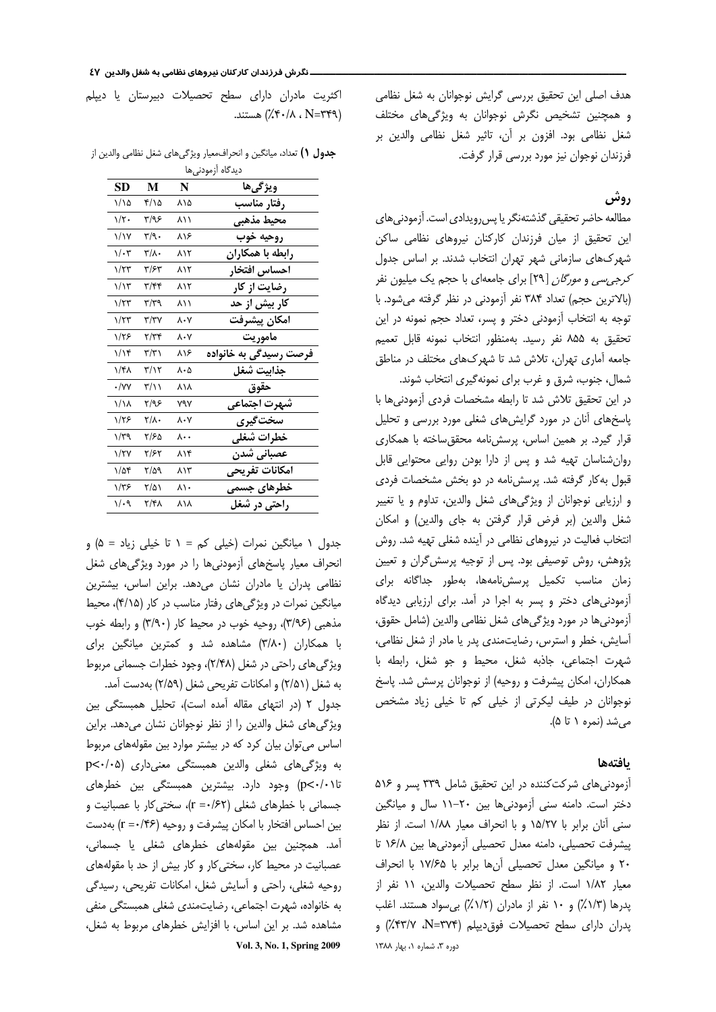هدف اصلی این تحقیق بررسی گرایش نوجوانان به شغل نظامی و همچنین تشخیص نگرش نوجوانان به ویژگیهای مختلف شغل نظامی بود. افزون بر أن، تاثير شغل نظامی والدين بر فرزندان نوجوان نیز مورد بررسی قرار گرفت.

# روش

مطالعه حاضر تحقيقي گذشتهنگر يا پس رويدادي است. آزمودني هاي این تحقیق از میان فرزندان کارکنان نیروهای نظامی ساکن شهرکھای سازمانی شهر تهران انتخاب شدند. بر اساس جدول کر*جی سی* و *مورگان* [۲۹] برای جامعهای با حجم یک میلیون نفر (بالاترین حجم) تعداد ۳۸۴ نفر آزمودنی در نظر گرفته می شود. با توجه به انتخاب أزمودنى دختر و پسر، تعداد حجم نمونه در اين تحقيق به ۸۵۵ نفر رسيد. بهمنظور انتخاب نمونه قابل تعميم جامعه آماری تهران، تلاش شد تا شهرکهای مختلف در مناطق شمال، جنوب، شرق و غرب برای نمونه گیری انتخاب شوند.

در این تحقیق تلاش شد تا رابطه مشخصات فردی آزمودنیها با پاسخهای آنان در مورد گرایشهای شغلی مورد بررسی و تحلیل قرار گیرد. بر همین اساس، پرسشنامه محقق ساخته با همکاری روان شناسان تهیه شد و پس از دارا بودن روایی محتوایی قابل قبول به کار گرفته شد. پرسش نامه در دو بخش مشخصات فردی و ارزیابی نوجوانان از ویژگیهای شغل والدین، تداوم و یا تغییر شغل والدين (بر فرض قرار گرفتن به جاى والدين) و امكان انتخاب فعالیت در نیروهای نظامی در آینده شغلی تهیه شد. روش پژوهش، روش توصیفی بود. پس از توجیه پرسش گران و تعیین زمان مناسب تكميل پرسش نامهها، بهطور جداگانه براى آزمودنی های دختر و پسر به اجرا در آمد. برای ارزیابی دیدگاه آزمودنیها در مورد ویژگیهای شغل نظامی والدین (شامل حقوق، آسایش، خطر و استرس، رضایتمندی پدر یا مادر از شغل نظامی، شهرت اجتماعي، جاذبه شغل، محيط و جو شغل، رابطه با همكاران، امكان پيشرفت و روحيه) از نوجوانان پرسش شد. پاسخ نوجوانان در طیف لیکرتی از خیلی کم تا خیلی زیاد مشخص می شد (نمره ۱ تا ۵).

### بافتهها

آزمودنی های شرکت کننده در این تحقیق شامل ۳۳۹ پسر و ۵۱۶ دختر است. دامنه سنی آزمودنیها بین ۲۰-۱۱ سال و میانگین سنی آنان برابر با ۱۵/۲۷ و با انحراف معیار ۱/۸۸ است. از نظر پیشرفت تحصیلی، دامنه معدل تحصیلی أزمودنیها بین ۱۶/۸ تا ٢٠ و ميانگين معدل تحصيلي آنها برابر با ١٧/۶۵ با انحراف معيار ١/٨٢ است. از نظر سطح تحصيلات والدين، ١١ نفر از یدرها (١/ ٪) و ١٠ نفر از مادران (١/ ٪) بی سواد هستند. اغلب پدران دارای سطح تحصیلات فوق دیپلم (N=۳۷۴، ۲۳/۷) و دوره ٣، شماره ١، بهار ١٣٨٨

اکثریت مادران دارای سطح تحصیلات دبیرستان یا دیپلم ( N=۳۴۹ ، ۲۰/۸) هستند.

| SD          | М                                    | N                 | ويژگىھا                        |
|-------------|--------------------------------------|-------------------|--------------------------------|
| ۱/۱۵        | ۲/۱۵                                 | ۸۱۵               | رفتار مناسب                    |
| ۱/۲۰        | ۳/۹۶                                 | ۸۱۱               | محيط مذهبى                     |
| ۱/۱۷        | ۳/۹۰                                 | ۸۱۶               | روحيه خوب                      |
| $1/\cdot 7$ | ۳/۸۰                                 | ۸۱۲               | رابطه با همکاران               |
| $1/\tau$ ۳  | ۳/۶۳                                 | ۸۱۲               | احساس افتخار                   |
| ۱/۱۳        | ۳/۴۴                                 | ۸۱۲               | رضایت از کار                   |
| ۱/۲۳        | ۳/۳۹                                 | ۸۱۱               | کار بیش از حد                  |
| ۱/۲۳        | ۳/۳۷                                 | ۸۰۷               | امكان ييشرفت                   |
| ۱/۲۶        | $\mathbf{Y}/\mathbf{Y}^{\mathbf{F}}$ | $\lambda \cdot Y$ | ماموريت                        |
| ۱/۱۴        | ۳/۳۱                                 | ۸۱۶               | فرصت رسی <i>دگی</i> به خانواده |
| ۱/۴۸        | ۳/۱۲                                 | ۸۰۵               | جذابيت شغل                     |
| $\cdot$ /vv | ۳/۱۱                                 | ۸۱۸               | حقوق                           |
| ۱/۱۸        | ۳/۹۶                                 | ۷۹۷               | شهرت اجتماعي                   |
| ۱/۲۶        | ۲/۸۰                                 | $\lambda \cdot V$ | سختگیری                        |
| ۱/۳۹        | ۲/۶۵                                 | ۸۰۰               | خطرات شغلي                     |
| ۱/۲۷        | ۲/۶۲                                 | ۸۱۴               | عصبانى شدن                     |
| ۱/۵۴        | ۳/۵۹                                 | ۸۱۳               | امکانات تف یحی                 |
| ۱/۳۶        | ۲/۵۱                                 | ۸۱۰               | خطرهای جسم <i>ی</i>            |
| ۱/۰۹        | ۲/۴۸                                 | ۸۱۸               | راحتی در شغل                   |

جدول ١) تعداد، ميانگين و انحراف،معيار ويژگيهاي شغل نظامي والدين از

جدول ۱ میانگین نمرات (خیلی کم = ۱ تا خیلی زیاد = ۵) و انحراف معیار پاسخهای آزمودنیها را در مورد ویژگیهای شغل نظامی پدران یا مادران نشان میدهد. براین اساس، بیشترین میانگین نمرات در ویژگی های رفتار مناسب در کار (۴/۱۵)، محیط مذهبی (٣/٩۶)، روحیه خوب در محیط کار (٣/٩٠) و رابطه خوب با همکاران (٣/٨٠) مشاهده شد و کمترين ميانگين براي ویژگیهای راحتی در شغل (۲/۴۸)، وجود خطرات جسمانی مربوط به شغل (۲/۵۱) و امکانات تفریحی شغل (۲/۵۹) بهدست آمد. جدول ٢ (در انتهاى مقاله آمده است)، تحليل همبستگى بين

ویژگیهای شغل والدین را از نظر نوجوانان نشان میدهد. براین اساس می توان بیان کرد که در بیشتر موارد بین مقولههای مربوط به ویژگیهای شغلی والدین همبستگی معنیداری (p<٠/٠۵ تا۰/۰۱) وجود دارد. بیشترین همبستگی بین خطرهای جسمانی با خطرهای شغلی (r =٠/۶۲)، سختی کار با عصبانیت و بین احساس افتخار با امکان پیشرفت و روحیه (r =٠/۴۶) بهدست آمد. همچنین بین مقولههای خطرهای شغلی یا جسمانی، عصبانیت در محیط کار، سختی کار و کار بیش از حد با مقولههای روحیه شغلی، راحتی و آسایش شغل، امکانات تفریحی، رسیدگی به خانواده، شهرت اجتماعی، رضایتمندی شغلی همبستگی منفی مشاهده شد. بر این اساس، با افزایش خطرهای مربوط به شغل، Vol. 3, No. 1, Spring 2009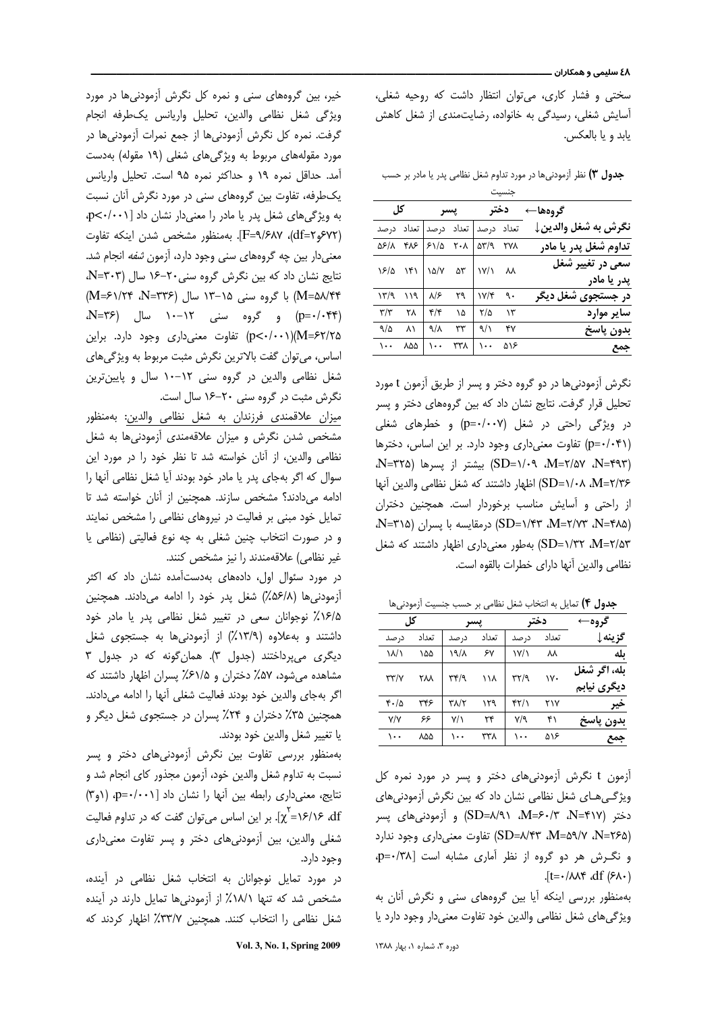سختی و فشار کاری، میتوان انتظار داشت که روحیه شغلی، آسایش شغلی، رسیدگی به خانواده، رضایتمندی از شغل کاهش يابد و يا بالعكس.

جدول ٣) نظر اَزمودنیها در مورد تداوم شغل نظامی پدر یا مادر بر حسب

|                       | جنسيت |            |       |       |     |                         |
|-----------------------|-------|------------|-------|-------|-----|-------------------------|
| گروهها←               |       | دختر       |       | يسر   |     | کل                      |
| نگرش به شغل والدين↓   |       | تعداد درصد | تعداد | در صد |     | تعداد درصد              |
| تداوم شغل پدر یا مادر | ۲۷۸   | 517a       | ۲۰۸   | 51/2  | ۴۸۶ | ۵۶/۸                    |
| سعی در تغییر شغل      | ᄊ     | ۱۷/۱       | ۵٣    | ۱۵/۷  | ۱۴۱ | ۱۶/۵                    |
| پدر یا مادر           |       |            |       |       |     |                         |
| در جستجوی شغل دیگر    | ٩.    | ۱۷/۴       | ٢٩    | ۸۱۶   | ۱۱۹ | ۱۳/۹                    |
| ساير موارد            | ۱۳    | ۲/۵        | ۱۵    | ۴/۴   | ۲۸  | $\mathbf{r}/\mathbf{r}$ |
| بدون پاسخ             | ۴٧    | 9/1        | ٣٣    | 9/1   | ۸١  | 9/0                     |
| جمع                   | ۵۱۶   | ۱۰۰        | ۳۳۸   | ۱۰۰   | ۸۵۵ | ۱۰۰                     |

نگرش آزمودنیها در دو گروه دختر و پسر از طریق آزمون t مورد تحلیل قرار گرفت. نتایج نشان داد که بین گروههای دختر و پسر در ویژگی راحتی در شغل (p=٠/٠٠٧) و خطرهای شغلی (p=٠/٠۴١) تفاوت معنى دارى وجود دارد. بر اين اساس، دخترها (SD=۱/۰۹ ،M=۲/۵۷ ،N=۴۹۳) بیشتر از پسرها (N=۳۲۵، SD=۱/۰۸ ،M=۲/۳۶) اظهار داشتند که شغل نظامی والدین آنها از راحتی و آسایش مناسب برخوردار است. همچنین دختران (N=۲۸۵ X-۴۸۵) SD=۱/۴۳، M=۲/۷۳، N=۴۸۵ SD=۱/۳۲ ،M=۲/۵۳) بهطور معنیداری اظهار داشتند که شغل نظامي والدين أنها داراي خطرات بالقوه است.

جدول ۴) تمایل به انتخاب شغل نظامی بر حسب جنسیت آزمودنیها

| گروه-        |       | دختر                                          |       |             | کل    |                          |  |
|--------------|-------|-----------------------------------------------|-------|-------------|-------|--------------------------|--|
| گزينه↓       | تعداد | در صد                                         | تعداد | در صد       | تعداد | در صد                    |  |
| ىلە          | ᄊ     | $\mathsf{I} \mathsf{V} \mathsf{I} \mathsf{I}$ | ۶٧    | ۱۹/۸        | ۱۵۵   | $\mathcal{N}\mathcal{N}$ |  |
| بله، اگر شغل | ۱۷۰   | ۳۲/۹                                          | ۱۱۸   | ۳۴/۹        | ۲۸۸   | $\tau\tau/\gamma$        |  |
| ديگرى نيابم  |       |                                               |       |             |       |                          |  |
| خير          | ۲۱۷   | ۴۲/۱                                          | ۱۲۹   | ۳۸/۲        | ۳۴۶   | ۴۰/۵                     |  |
| بدون پاسخ    | ۴۱    | $V$ ۹                                         | ۲۴    | $V/\lambda$ | ۶۶    | V/V                      |  |
| جمع          | ۵۱۶   | ۰۰۱                                           | ۳۳۸   | ۱۰۰         | ۸۵۵   | ۱۰۰                      |  |

آزمون t نگرش آزمودنیهای دختر و پسر در مورد نمره کل ویژگی هـای شغل نظامی نشان داد که بین نگرش آزمودنی های دختر (N=۴۱۷، ۲۰/۳–۸I)، SD=۸/۹۱) و آزمودنیهای پسر (76%-N=۵۹/۷، N=۲۶۵) تفاوت معنی داری وجود ندارد و نگرش هر دو گروه از نظر آماری مشابه است [p=٠/٣٨]  $J_t = -/\lambda \lambda f \, df (\lambda -)$ 

بهمنظور بررسی اینکه آیا بین گروههای سنی و نگرش آنان به ویژگیهای شغل نظامی والدین خود تفاوت معنیدار وجود دارد یا

خیر، بین گروههای سنی و نمره کل نگرش آزمودنیها در مورد ويژكى شغل نظامى والدين، تحليل واريانس يكطرفه انجام گرفت. نمره كل نگرش أزمودنيها از جمع نمرات أزمودنيها در مورد مقولههای مربوط به ویژگیهای شغلی (۱۹ مقوله) بهدست آمد. حداقل نمره ١٩ و حداكثر نمره ٩۵ است. تحليل واريانس یکطرفه، تفاوت بین گروههای سنی در مورد نگرش آنان نسبت به ویژگیهای شغل پدر یا مادر را معنیدار نشان داد [ p<٠/٠٠١]. (٤٧٢هِ df=٢)، F=٩/۶٨٧]. بهمنظور مشخص شدن اينكه تفاوت معنی دار بین چه گروههای سنی وجود دارد، آزمون *شفه* انجام شد. نتايج نشان داد كه بين نكرش كروه سنى ٢٠-١۶ سال (N=٣٠٣، M=۵۸/۴۴) با گروه سنی ۱۵–۱۳ سال (N=۳۳۶، ۴۲۴=M) (p=۰/۰۴۴) و گروه سنی ۱۲–۱۰ سال (N=۳۶، p<-/-->))(n=۶۲/۲۵) تفاوت معنی داری وجود دارد. براین اساس، مي توان گفت بالاترين نگرش مثبت مربوط به ويژگي هاي شغل نظامی والدین در گروه سنی ١٢-١٠ سال و پایینترین نگرش مثبت در گروه سنی ۲۰-۱۶ سال است.

میزان علاقمندی فرزندان به شغل نظامی والدین: بهمنظور مشخص شدن نگرش و میزان علاقهمندی أزمودنیها به شغل نظامی والدین، از آنان خواسته شد تا نظر خود را در مورد این سوال که اگر بهجای پدر یا مادر خود بودند آیا شغل نظامی آنها را ادامه می دادند؟ مشخص سازند. همچنین از آنان خواسته شد تا تمایل خود مبنی بر فعالیت در نیروهای نظامی را مشخص نمایند و در صورت انتخاب چنین شغلی به چه نوع فعالیتی (نظامی یا غیر نظامی) علاقهمندند را نیز مشخص کنند.

در مورد سئوال اول، دادههای بهدستآمده نشان داد که اکثر آزمودنی ها (۵۶/۸٪) شغل پدر خود را ادامه می دادند. همچنین ۱۶/۵٪ نوجوانان سعی در تغییر شغل نظامی پدر یا مادر خود داشتند و بهعلاوه (۱۳/۹٪) از آزمودنیها به جستجوی شغل دیگری می پرداختند (جدول ۳). همان گونه که در جدول ۳ مشاهده میشود، ۵۷٪ دختران و ۶۱/۵٪ پسران اظهار داشتند که اگر بهجای والدین خود بودند فعالیت شغلی آنها را ادامه میدادند. همچنین ۳۵٪ دختران و ۲۴٪ پسران در جستجوی شغل دیگر و يا تغيير شغل والدين خود بودند.

بهمنظور بررسی تفاوت بین نگرش آزمودنیهای دختر و پسر نسبت به تداوم شغل والدین خود، آزمون مجذور کای انجام شد و نتايج، معنى دارى رابطه بين آنها را نشان داد p=٠/٠٠١ (٣٩) -۱۶/۱۶ (۴). بر این اساس میتوان گفت که در تداوم فعالیت $\chi^{\rm f}$ ). بر این اساس می شغلي والدين، بين أزمودني هاي دختر و پسر تفاوت معنى داري وجود دارد.

در مورد تمایل نوجوانان به انتخاب شغل نظامی در آینده، مشخص شد که تنها ۱۸/۱٪ از آزمودنیها تمایل دارند در آینده شغل نظامی را انتخاب کنند. همچنین ۳۳/۷٪ اظهار کردند که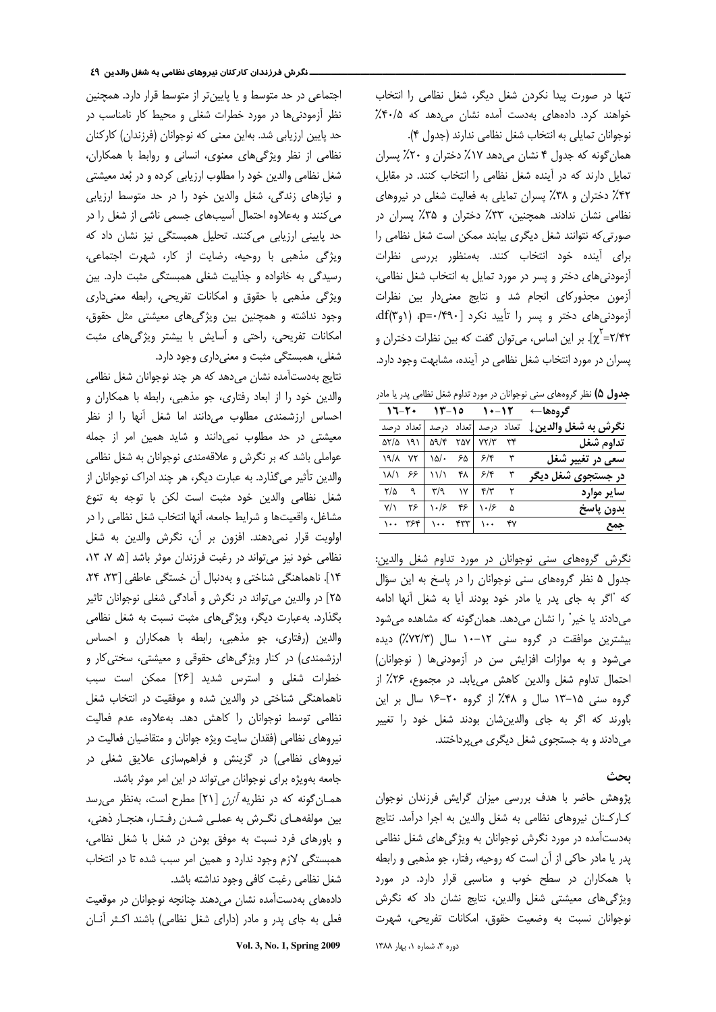ننها در صورت پیدا نکردن شغل دیگر، شغل نظامی را انتخاب خواهند کرد. دادههای بهدست آمده نشان میدهد که ۰/۵٪

نوجوانان تمايلي به انتخاب شغل نظامي ندارند (جدول ۴). همان گونه که جدول ۴ نشان می دهد ۱۷٪ دختران و ۲۰٪ پسران  $\ddot{\phantom{0}}$ نمایل دارند که در آینده شغل نظامی را انتخاب کنند. در مقابل، ۴۲٪ دختران و ۳۸٪ پسران تمایلی به فعالیت شغلی در نیروهای نظامی نشان ندادند. همچنین، ۳۳٪ دختران و ۳۵٪ پسران در صورتی که نتوانند شغل دیگری بیابند ممکن است شغل نظامی را برای آینده خود انتخاب کنند. بهمنظور بررسی نظرات  $\ddot{\phantom{0}}$ آزمودنیهای دختر و پسر در مورد تمایل به انتخاب شغل نظامی، آزمون مجذوركاى انجام شد و نتايج معنىدار بين نظرات أزمودنى هاى دختر و پسر را تأييد نكرد p=٠/۴٩٠] (١وdf(٣). L;/;= ; J 4` F
o e # l\* FG [. 
χ پسران در مورد انتخاب شغل نظامی در آینده، مشابهت وجود دارد.

ج**دول ۵)** نظر گروههای سنی نوجوانان در مورد تداوم شغل نظامی پدر یا مادر

| گروهها←             |  | $17 - 11 - 10$ $11 - 11$                                                                                                                                                                                                                                                                                                                                             |  |
|---------------------|--|----------------------------------------------------------------------------------------------------------------------------------------------------------------------------------------------------------------------------------------------------------------------------------------------------------------------------------------------------------------------|--|
| نگرش به شغل والدين↓ |  | تعداد درصد تعداد درصد تعداد درصد                                                                                                                                                                                                                                                                                                                                     |  |
| تداوم شغل           |  | $\Delta Y/\Delta$ $\Delta 9$ $\Delta 9$ $\Delta 9$ $\Delta 9$ $\Delta 9$ $\Delta 9$ $\Delta 9$ $\Delta 9$ $\Delta 9$ $\Delta 9$ $\Delta 9$ $\Delta 9$ $\Delta 9$ $\Delta 9$ $\Delta 9$ $\Delta 9$ $\Delta 9$ $\Delta 9$ $\Delta 9$ $\Delta 9$ $\Delta 9$ $\Delta 9$ $\Delta 9$ $\Delta 9$ $\Delta 9$ $\Delta 9$ $\Delta 9$ $\Delta 9$ $\Delta 9$ $\Delta 9$ $\Delta$ |  |
| سعی در تغییر شغل    |  | $19/\lambda$ YY $10/ 50$ $5/\tau$ $\tau$                                                                                                                                                                                                                                                                                                                             |  |
| در جستجوی شغل دیگر  |  | $11/1$ $55$ $11/1$ $81$ $5/8$ $8$                                                                                                                                                                                                                                                                                                                                    |  |
| ساير موارد          |  | $Y/\Delta$ a $Y/9$ IV $Y/Y$ Y                                                                                                                                                                                                                                                                                                                                        |  |
| بدون پاسخ           |  | $\overline{Y/1}$ $Y5$ $\cdot 15$ $Y5$ $\overline{Y5}$ $\cdot 15$ $\Delta$                                                                                                                                                                                                                                                                                            |  |
| جمع                 |  | $1.1$ $Y5F$ $1.1$ $YY$ $YY$                                                                                                                                                                                                                                                                                                                                          |  |

نگرش گروههای سنی نوجوانان در مورد تداوم شغل والدین: جدول ۵ نظر گروههای سنی نوجوانان را در پاسخ به این سؤال كه "اگر به جاي يدر يا مادر خود بودند آيا به شغل آنها ادامه میدادند یا خیر" را نشان میدهد. همان گونه که مشاهده میشود بیشترین موافقت در گروه سنی ۱۲–۱۰ سال (۷۲/۳٪) دیده می شود و به موازات افزایش سن در آزمودنی ها ( نوجوانان) حتمال تداوم شغل والدين كاهش مي يابد. در مجموع، ٢۶٪ از گروه سنی ۱۵–۱۳ سال و ۴۸٪ از گروه ۲۰–۱۶ سال بر این باورند كه اگر به جاي والدين شان بودند شغل خود را تغيير میدادند و به جستجوی شغل دیگری میپرداختند.

## ىحث

پژوهش حاضر با هدف بررسی میزان گرایش فرزندان نوجوان كاركنان نيروهاى نظامى به شغل والدين به اجرا درآمد. نتايج بهدستآمده در مورد نگرش نوجوانان به ویژگیهای شغل نظامی بدر یا مادر حاکی از آن است که روحیه، رفتار، جو مذهبی و رابطه با همکاران در سطح خوب و مناسبی قرار دارد. در مورد ویژگیهای معیشتی شغل والدین، نتایج نشان داد که نگرش نوجوانان نسبت به وضعيت حقوق، امكانات تفريحي، شهرت

اجتماعی در حد متوسط و یا پایین تر از متوسط قرار دارد. همچنین نظر آزمودنی ها در مورد خطرات شغلی و محیط کار نامناسب در حد پایین ارزیابی شد. بهاین معنی که نوجوانان (فرزندان) کارکنان  $\ddot{\phantom{0}}$ نظامی از نظر ویژگیهای معنوی، انسانی و روابط با همکاران، شغل نظامی والدین خود را مطلوب ارزیابی کرده و در بُعد معیشتی و نیازهای زندگی، شغل والدین خود را در حد متوسط ارزیابی میکنند و بهعلاوه احتمال آسیبهای جسمی ناشی از شغل را در حد پایینی ارزیابی میکنند. تحلیل همبستگی نیز نشان داد که ویژگی مذهبی با روحیه، رضایت از کار، شهرت اجتماعی، رسیدگی به خانواده و جذابیت شغلی همبستگی مثبت دارد. بین ویژگی مذهبی با حقوق و امکانات تفریحی، رابطه معنیداری وجود نداشته و همچنین بین ویژگیهای معیشتی مثل حقوق، مکانات تفریحی، راحتی و آسایش با بیشتر ویژگیهای مثبت شغلي، همبستگي مثبت و معنيداري وجود دارد.

نتايج بهدستآمده نشان مىدهد كه هر چند نوجوانان شغل نظامى والدین خود را از ابعاد رفتاری، جو مذهبی، رابطه با همکاران و احساس ارزشمندی مطلوب میدانند اما شغل آنها را از نظر معیشتی در حد مطلوب نمیدانند و شاید همین امر از جمله عواملي باشد كه بر نگرش و علاقهمندي نوجوانان به شغل نظامي والدین تأثیر میگذارد. به عبارت دیگر، هر چند ادراک نوجوانان از شغل نظامی والدین خود مثبت است لکن با توجه به تنوع مشاغل، واقعيتها و شرايط جامعه، آنها انتخاب شغل نظامي را در ولويت قرار نمى دهند. افزون بر أن، نكرش والدين به شغل نظامی خود نیز می تواند در رغبت فرزندان موثر باشد [۵، ۷، ۱۳، ١۴]. ناهماهنگی شناختی و بهدنبال آن خستگی عاطفی [٢٣، ٢۴، ۲۵] در والدین می تواند در نگرش و آمادگی شغلی نوجوانان تاثیر بگذارد. بهعبارت دیگر، ویژگیهای مثبت نسبت به شغل نظامی والدین (رفتاری، جو مذهبی، رابطه با همکاران و احساس رزشمندی) در کنار ویژگیهای حقوقی و معیشتی، سختی کار و خطرات شغلی و استرس شدید [۲۶] ممکن است سبب ناهماهنگی شناختی در والدین شده و موفقیت در انتخاب شغل نظامی توسط نوجوانان را کاهش دهد. بهعلاوه، عدم فعالیت نیروهای نظامی (فقدان سایت ویژه جوانان و متقاضیان فعالیت در نیروهای نظامی) در گزینش و فراهمسازی علایق شغلی در جامعه بهويژه براي نوجوانان ميتواند در اين امر موثر باشد.

همـان گونه كه در نظريه *آزن* [۲۱] مطرح است، بهنظر مى سد يين مولفههـاي نگـرش به عملـي شـدن رفـتـار، هنجـار ذهني، و باورهای فرد نسبت به موفق بودن در شغل با شغل نظامی، همبستگی لازم وجود ندارد و همین امر سبب شده تا در انتخاب شغل نظامی رغبت کافی وجود نداشته باشد.

دادههای بهدستآمده نشان میدهند چنانچه نوجوانان در موقعیت فعلی به جای پدر و مادر (دارای شغل نظامی) باشند اکـثر آنـان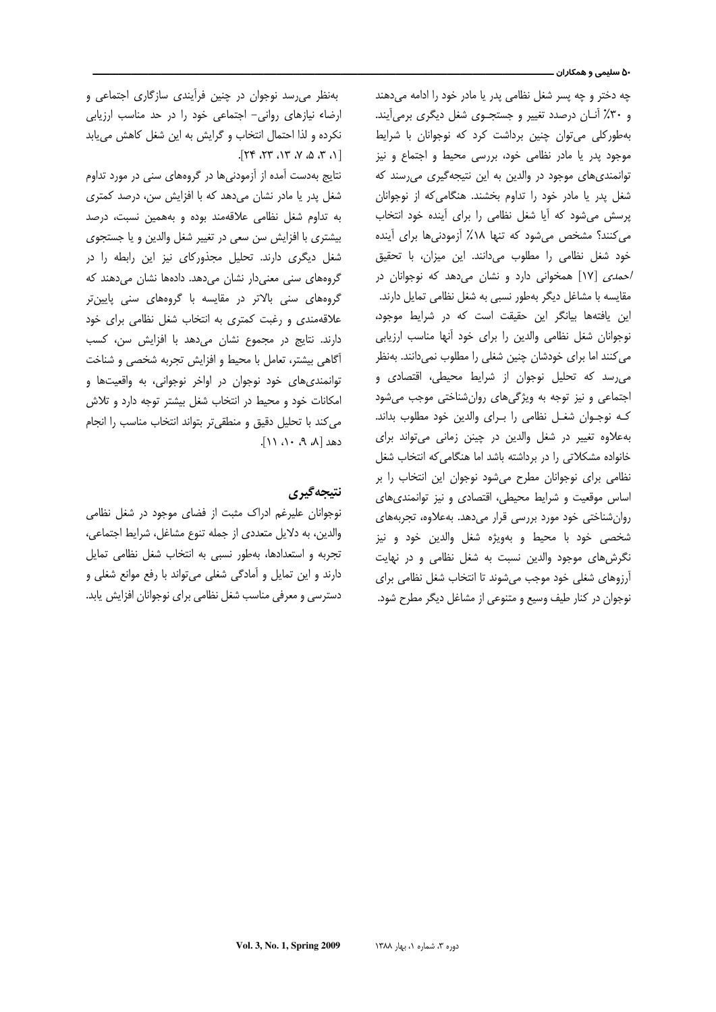#### ۵۰ سلیمی و همکاران ـــ

چه دختر و چه پسر شغل نظامی پدر یا مادر خود را ادامه میدهند و ۳۰٪ آنان درصدد تغییر و جستجـوی شغل دیگری برمی آیند. بهطور کلی می توان چنین برداشت کرد که نوجوانان با شرایط موجود پدر یا مادر نظامی خود، بررسی محیط و اجتماع و نیز توانمندی های موجود در والدین به این نتیجهگیری می رسند که شغل پدر یا مادر خود را تداوم بخشند. هنگامی که از نوجوانان پرسش می شود که آیا شغل نظامی را برای آینده خود انتخاب می کنند؟ مشخص می شود که تنها ۱۸٪ آزمودنی ها برای آینده خود شغل نظامی را مطلوب می دانند. این میزان، با تحقیق /حمدی [١٧] همخوانی دارد و نشان می دهد که نوجوانان در مقایسه با مشاغل دیگر بهطور نسبی به شغل نظامی تمایل دارند. این یافتهها بیانگر این حقیقت است که در شرایط موجود، نوجوانان شغل نظامی والدین را برای خود آنها مناسب ارزیابی می کنند اما برای خودشان چنین شغلی را مطلوب نمی دانند. بهنظر می رسد که تحلیل نوجوان از شرایط محیطی، اقتصادی و اجتماعی و نیز توجه به ویژگیهای روان شناختی موجب می شود کـه نوجـوان شغـل نظامی را بـرای والدین خود مطلوب بداند. به علاوه تغییر در شغل والدین در چینن زمانی می تواند برای خانواده مشكلاتي را در برداشته باشد اما هنگامي كه انتخاب شغل نظامی برای نوجوانان مطرح می شود نوجوان این انتخاب را بر اساس موقعیت و شرایط محیطی، اقتصادی و نیز توانمندی های روان شناختی خود مورد بررسی قرار می دهد. به علاوه، تجربههای شخصی خود با محیط و بهویژه شغل والدین خود و نیز نگرشهای موجود والدین نسبت به شغل نظامی و در نهایت آرزوهای شغلی خود موجب می شوند تا انتخاب شغل نظامی برای نوجوان در کنار طیف وسیع و متنوعی از مشاغل دیگر مطرح شود.

بهنظر می رسد نوجوان در چنین فرآیندی سازگاری اجتماعی و ارضاء نیازهای روانی- اجتماعی خود را در حد مناسب ارزیابی نکرده و لذا احتمال انتخاب و گرایش به این شغل کاهش می یابد  $[1.702 \times 10^{-14}]$ 

نتایج بهدست آمده از آزمودنیها در گروههای سنی در مورد تداوم شغل پدر یا مادر نشان میدهد که با افزایش سن، درصد کمتری به تداوم شغل نظامی علاقهمند بوده و بههمین نسبت، درصد بیشتری با افزایش سن سعی در تغییر شغل والدین و یا جستجوی شغل دیگری دارند. تحلیل مجذورکای نیز این رابطه را در گروههای سنی معنیدار نشان میدهد. دادهها نشان میدهند که گروههای سنی بالاتر در مقایسه با گروههای سنی پایینتر علاقهمندی و رغبت کمتری به انتخاب شغل نظامی برای خود دارند. نتایج در مجموع نشان میدهد با افزایش سن، کسب أگاهی بیشتر، تعامل با محیط و افزایش تجربه شخصی و شناخت توانمنديهاي خود نوجوان در اواخر نوجواني، به واقعیتها و امکانات خود و محیط در انتخاب شغل بیشتر توجه دارد و تلاش می کند با تحلیل دقیق و منطقی تر بتواند انتخاب مناسب را انجام  $[11.1.9.1]$ .

# نتيجه گيري

نوجوانان علیرغم ادراک مثبت از فضای موجود در شغل نظامی والدین، به دلایل متعددی از جمله تنوع مشاغل، شرایط اجتماعی، تجربه و استعدادها، بهطور نسبی به انتخاب شغل نظامی تمایل دارند و این تمایل و آمادگی شغلی می تواند با رفع موانع شغلی و دسترسی و معرفی مناسب شغل نظامی برای نوجوانان افزایش یابد.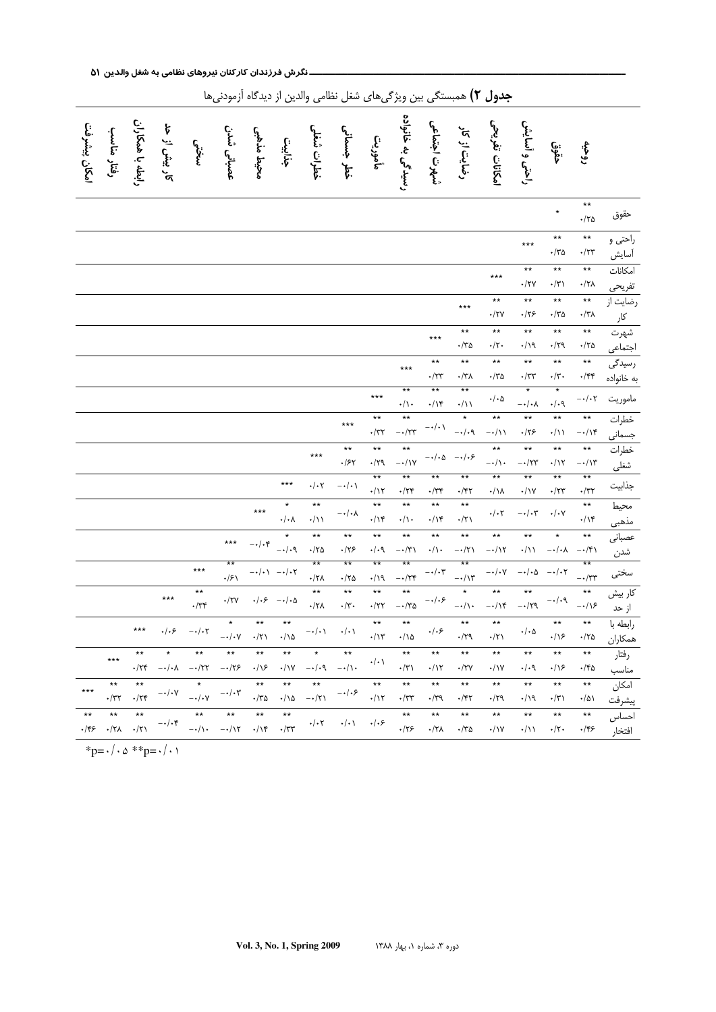| ر - <del>ر</del> - ی--<br>ی رسیں پر ہیں ۔<br>س<br>ی چین رپر تی -- ت<br>---- |                                           |                              |                         |                                                       |                                                       |                                                                |                                                                                  |                                                                    |                                                    |                                          |                                               |                                                                                      |                                                             |                                                                     |                                    |                                                                                         |                                            |                                 |
|-----------------------------------------------------------------------------|-------------------------------------------|------------------------------|-------------------------|-------------------------------------------------------|-------------------------------------------------------|----------------------------------------------------------------|----------------------------------------------------------------------------------|--------------------------------------------------------------------|----------------------------------------------------|------------------------------------------|-----------------------------------------------|--------------------------------------------------------------------------------------|-------------------------------------------------------------|---------------------------------------------------------------------|------------------------------------|-----------------------------------------------------------------------------------------|--------------------------------------------|---------------------------------|
| امكان پيشرفت                                                                | رفتار مناسب                               | رابطه با همکاران             | کار بیش از حد           | بسختنى                                                | عصباني شدن                                            | محيط مذهبى                                                     | جذابين                                                                           | خطرات شغلى                                                         | خطر جسمانی                                         | مأمورين                                  | رسیدگی به خانواده                             | شهرت اجتماعي                                                                         | رضایت از کار                                                | امكانات تفريحي                                                      | راحتى و أسايش                      | خۇق:                                                                                    | روحيه                                      |                                 |
|                                                                             |                                           |                              |                         |                                                       |                                                       |                                                                |                                                                                  |                                                                    |                                                    |                                          |                                               |                                                                                      |                                                             |                                                                     |                                    | $\star$                                                                                 | $^{\star\star}$<br>$\cdot/\tau$ ۵          | حقوق                            |
|                                                                             |                                           |                              |                         |                                                       |                                                       |                                                                |                                                                                  |                                                                    |                                                    |                                          |                                               |                                                                                      |                                                             |                                                                     | $***$                              | $\star\star$<br>$\cdot$ /٣۵                                                             | $^{\star\star}$<br>$\cdot/\tau$ ۳          | راحتی و<br>أسايش                |
|                                                                             |                                           |                              |                         |                                                       |                                                       |                                                                |                                                                                  |                                                                    |                                                    |                                          |                                               |                                                                                      |                                                             | $***$                                                               | $\star\star$<br>$\cdot/\tau$ y     | $\star\star$<br>$\boldsymbol{\cdot}/\boldsymbol{\curlyvee}$                             | $\star\star$<br>$\cdot/\tau\lambda$        | امكانات                         |
|                                                                             |                                           |                              |                         |                                                       |                                                       |                                                                |                                                                                  |                                                                    |                                                    |                                          |                                               |                                                                                      | $***$                                                       | $\star\star$<br>$\cdot/\tau$                                        | $\star\star$<br>$\cdot$ /۲۶        | $\star\star$<br>$\cdot$ /٣۵                                                             | $\star\star$<br>$\cdot/\tau\lambda$        | تفریحی<br>رضایت از<br>کار       |
|                                                                             |                                           |                              |                         |                                                       |                                                       |                                                                |                                                                                  |                                                                    |                                                    |                                          |                                               | $***$                                                                                | $\star\star$<br>$\cdot$ /٣۵                                 | $\star\star$<br>$\boldsymbol{\cdot}/\boldsymbol{\upgamma}$ .        | $\star\star$<br>$\cdot/\gamma$     | $^{\star\star}$<br>$\cdot$ /۲۹                                                          | $\star\star$<br>$\cdot/\tau$ ۵             | شهرت                            |
|                                                                             |                                           |                              |                         |                                                       |                                                       |                                                                |                                                                                  |                                                                    |                                                    |                                          | $***$                                         | $\star\star$<br>$\boldsymbol{\cdot} / \boldsymbol{\curlyvee} \boldsymbol{\curlyvee}$ | $\star\star$<br>$\cdot/\tau\lambda$                         | $\star\star$<br>$\cdot/\tau$ ۵                                      | $\star\star$<br>$\cdot/\tau\tau$   | $\ddot{\ast}$<br>$\boldsymbol{\cdot}/\boldsymbol{\upgamma}$ .                           | $\star\star$<br>$\cdot$ /۴۴                | اجتماعی<br>رسیدگی<br>به خانواده |
|                                                                             |                                           |                              |                         |                                                       |                                                       |                                                                |                                                                                  |                                                                    |                                                    | $***$                                    | $***$<br>$\cdot/\wedge$                       | $\star\star$<br>$\cdot/\backslash \mathfrak{r}$                                      | $\overline{**}$<br>$\cdot/\!\!\!/\,$                        | $\boldsymbol{\cdot}/\boldsymbol{\cdot}\boldsymbol{\mathsf{\Delta}}$ | $\star$<br>$-\star/\star\lambda$   | $\star$<br>$\cdot/\cdot$ ٩                                                              | $-\cdot/\cdot \tau$                        | ماموريت                         |
|                                                                             |                                           |                              |                         |                                                       |                                                       |                                                                |                                                                                  |                                                                    | $***$                                              | $\star\star$<br>$\boldsymbol{\cdot}$ /٣٢ | $\star\star$<br>$-\cdot/\tau\tau$             | $-\,\boldsymbol{\cdot}\,/\,\boldsymbol{\cdot}\,$ $\backslash$                        | $\star$<br>$-\cdot/\cdot$ ٩                                 | $\star\star$<br>$-\cdot/\mathcal{V}$                                | $\star\star$<br>$\cdot$ /۲۶        | $\star\star$<br>$\cdot/\backslash\!\!\backslash$                                        | $\star\star$<br>$-\cdot/\gamma$            | خطرات<br>جسمانی                 |
|                                                                             |                                           |                              |                         |                                                       |                                                       |                                                                |                                                                                  | $***$                                                              | $\star\star$<br>$.$ /۶۲                            | $^{\star\star}$<br>$\cdot/\tau$ q        | $\star\star$<br>$-\cdot/\gamma$               | $-\cdot/\cdot\Delta$                                                                 | $-\cdot/\cdot$ ۶                                            | $\star\star$<br>$-\cdot/\wedge$                                     | $\star\star$<br>$ \cdot$ /۲۳       | $\star\star$<br>$\cdot/\backslash\curlyvee$                                             | $^{\star\star}$<br>$-\cdot/\gamma$ ۳       | خطرات<br>شغلى                   |
|                                                                             |                                           |                              |                         |                                                       |                                                       |                                                                | $***$                                                                            | $\cdot$ / $\cdot$ r                                                | $-\,\boldsymbol{\cdot}\,/\,\boldsymbol{\cdot}\,$ \ | $**$<br>$\cdot/\gamma$                   | $***$<br>$\cdot/\tau$ ۴                       | $***$<br>$\cdot/\tau$ ۴                                                              | $\overline{**}$<br>$\cdot$ /۴۲                              | **<br>$\cdot/\lambda$                                               | $\star\star$<br>$\cdot/\gamma$     | $\overline{**}$<br>$\boldsymbol{\cdot} / \boldsymbol{\curlyvee} \boldsymbol{\curlyvee}$ | **<br>$\cdot/\tau\tau$                     | جذابيت                          |
|                                                                             |                                           |                              |                         |                                                       |                                                       | $***$                                                          | $\star$<br>$\boldsymbol{\cdot}/\boldsymbol{\cdot}\boldsymbol{\curlywedge}$       | $\star\star$<br>$\cdot/\wedge$                                     | $-\cdot/\cdot\lambda$                              | $^{\star\star}$<br>$\cdot/\gamma$        | $^{\star\star}$<br>$\cdot/\wedge$             | $\star\star$<br>$\cdot/\mathcal{N}$                                                  | $\star\star$<br>$\boldsymbol{\cdot}/\boldsymbol{\curlyvee}$ | $\boldsymbol{\cdot}/\boldsymbol{\cdot} \boldsymbol{\upgamma}$       | $-\cdot/\cdot$ ۳                   | $\boldsymbol{\cdot}/\boldsymbol{\cdot} \textsf{y}$                                      | $\star\star$<br>$\cdot/\gamma$             | محيط                            |
|                                                                             |                                           |                              |                         |                                                       | $***$                                                 | $-\cdot/\cdot$ ۴                                               | $\star$<br>$ \cdot$ / $\cdot$ ٩                                                  | $\star\star$<br>$\cdot$ /۲۵                                        | $\star\star$<br>$\cdot$ /۲۶                        | $\star\star$<br>$\cdot/\cdot$ ٩          | $\star\star$<br>$-\cdot/\tau$                 | $\star\star$<br>$\cdot/\backslash$ .                                                 | $\star \star$<br>$-\cdot/\tau$                              | $\star\star$<br>$-\cdot/\gamma$                                     | $\star\star$<br>$\cdot/\wedge$     | $\star$<br>$-\!\boldsymbol{\cdot}/\!\boldsymbol{\cdot}\boldsymbol{\curlywedge}$         | $^{\star\star}$<br>$-\cdot/\mathfrak{f}\,$ | مذهبی<br>عصبانی<br>شدن          |
|                                                                             |                                           |                              |                         | $***$                                                 | $\star\star$<br>$\cdot$ /۶ $\setminus$                |                                                                | $-\cdot/\cdot$ $\backslash$ $\;$ $-\cdot/\cdot\!\!\!$ $\,\mathsf{\widetilde{Y}}$ | $***$<br>$\cdot/\!\!\!\!\!\backslash \Lambda$                      | $\overline{**}$<br>$\cdot$ /۲۵                     | $\overline{**}$<br>.119                  | $\overline{**}$<br>$ \cdot$ /۲۴               | $-\cdot/\cdot \mathbf{y}$                                                            | **<br>$-\cdot/\gamma$                                       | $-\,\boldsymbol{\cdot}\,/\,\boldsymbol{\cdot}\,\boldsymbol{\vee}$   | $-\cdot/\cdot$ $\Delta$            | $ \cdot$ / $\cdot$ $\cdot$                                                              | $***$<br>$-\cdot/\tau\tau$                 | سختی                            |
|                                                                             |                                           |                              | $***$                   | $\star\star$<br>$\cdot/\tau$                          | $\boldsymbol{\cdot} / \boldsymbol{\curlyvee}$         | $\boldsymbol{\cdot}/\boldsymbol{\cdot}\boldsymbol{\mathit{F}}$ | $-\cdot/\cdot$ ۵                                                                 | $\star\star$<br>$\boldsymbol{\cdot}/\boldsymbol{\curlyvee}\lambda$ | $\star\star$<br>$\cdot/\mathfrak{r}$ .             | $\star\star$<br>$\cdot/\tau\tau$         | $\ddot{x}$<br>$-\cdot/\texttt{r}\texttt{\^o}$ | $-\cdot/\cdot\hat{z}$                                                                | $\star$<br>$-\cdot/\!\operatorname{\backslash} \cdot$       | $^{\star\star}$<br>$-\cdot/\gamma$                                  | $\star\star$<br>$ \cdot$ / $\zeta$ | $-\cdot/\cdot$ ٩                                                                        | $\star\star$<br>$-\cdot/\sqrt{2}$          | کار بیش<br>از حد<br>رابطه با    |
|                                                                             |                                           | $***$                        | $\cdot/\cdot$ ۶         | $-\cdot/\cdot \curlyvee$                              | $\star$<br>$-\cdot/\cdot v$                           | $^{\star\star}$<br>$\cdot/\tau$                                | $\star\star$<br>$\cdot/\wedge \Delta$                                            | $-\cdot/\cdot$ )                                                   | $\cdot/\cdot$ )                                    | $\star\star$<br>$\cdot/\gamma$           | $\star\star$<br>$\cdot/\lambda$               | $.  .$ ۶                                                                             | $\ddot{\ast}$<br>$\cdot/\tau$ 9                             | $\ast\ast$<br>$\cdot/\tau$                                          | $\cdot/\cdot \Delta$               | $\star\star$<br>$\cdot/\sqrt{2}$                                                        | $\star\star$<br>$\cdot$ /۲۵                | همكاران                         |
|                                                                             | $***$                                     | $***$<br>$\cdot$ /۲۴         | $\star$                 | $\star\star$<br>$-\cdot/\cdot \wedge -\cdot/\tau\tau$ | $***$<br>$-\star/\!\!\!\!\!\backsim\!\!\!\!\!\!\succ$ | $\star\star$<br>$\cdot/\sqrt{2}$                               | $\star\star$<br>$\cdot/\gamma$                                                   | $\star$<br>$-\cdot/\cdot$ ٩                                        | $***$<br>$-\cdot/\cdot$                            | $\cdot/\cdot$ \                          | $***$<br>$\cdot/\tau$                         | $\star\star$<br>$\cdot/\gamma$                                                       | $\star\star$<br>$\cdot$ /۲۷                                 | $***$<br>$\cdot/\gamma$                                             | $\star\star$<br>. / .9             | $\star\star$<br>$\cdot/\sqrt{2}$                                                        | $^{\star\star}$<br>$\cdot$ /۴۵             | رفتار<br>مناسب                  |
| $***$                                                                       | $\star\star$<br>۰/۳۲                      | $***$<br>$\cdot/\tau$ ۴      | $-\cdot/\cdot \Upsilon$ | $\star$<br>$-\cdot/\cdot \Upsilon$                    | $-\cdot/\cdot7$                                       | $\star\star$<br>$\cdot$ /٣۵                                    | $\star\star$<br>$\cdot/\backslash\Delta$                                         | $***$<br>$-\cdot/\tau$                                             | $-\cdot/\cdot$ ۶                                   | $\star\star$<br>$\cdot/\gamma$           | $\star\,\star$<br>$\cdot$ /٣٣                 | $\star\star$<br>$\cdot$ /۳۹                                                          | $***$<br>$\cdot$ /۴۲                                        | $\star\star$<br>$\cdot/\uparrow$ ۹                                  | $\star\star$<br>۰/۱۹               | $\star\star$<br>$\cdot/\tau$                                                            | $\star\star$<br>۱۵۱.                       | امكان<br>پيشرفت                 |
| $***$<br>۰/۴۶                                                               | $^{\star\star}$<br>$\cdot/\uparrow\wedge$ | $\star\star$<br>$\cdot/\tau$ | $-\cdot/\cdot$ ۴        | $\star\star$<br>$-\cdot/\cdot$                        | $\star\star$<br>$-\cdot/\gamma$                       | $\star\star$<br>$\cdot/\mathcal{N}$                            | $***$<br>$\cdot$ /٣٣                                                             | $\cdot/\cdot7$                                                     | $\cdot/\cdot$ \                                    | $.   . \rangle$                          | $\star\star$<br>.175                          | $\star\star$<br>$\cdot/\tau$                                                         | $^{\star\star}$<br>$\cdot$ /۳۵                              | $^{\star\star}$<br>$\cdot/\gamma$                                   | $\star\star$<br>$\cdot/\wedge$     | $\star\star$<br>$\cdot/\tau$ .                                                          | $\star\star$<br>۰/۴۶                       | آحساس<br>افتخار                 |

جدول ۲) همبستگی بین ویژگیهای شغل نظامی والدین از دیدگاه اَزمودنیها

\*p= $\cdot/\cdot \circ$  \*\*p= $\cdot/\cdot \cdot$